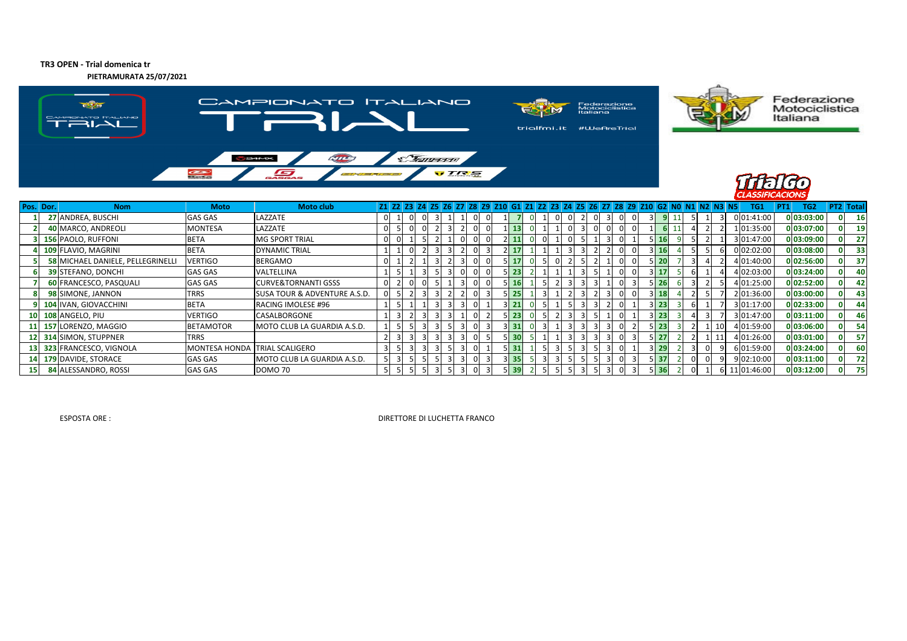**TR3 OPEN - Trial domenica tr**

**PIETRAMURATA 25/07/2021**



| Pos. Dor. | <b>Nom</b>                               | <b>Moto</b>                   | Moto club                               |    | Z1 Z2 Z3 Z4 |                 | I Z5 I |   |                |             |        |    |  |  |          |             |             |  |                 | TG1        | PT1 | TG <sub>2</sub> | <b>PT2</b> Total |     |
|-----------|------------------------------------------|-------------------------------|-----------------------------------------|----|-------------|-----------------|--------|---|----------------|-------------|--------|----|--|--|----------|-------------|-------------|--|-----------------|------------|-----|-----------------|------------------|-----|
|           | 27 ANDREA, BUSCHI                        | GAS GAS                       | LAZZATE                                 | 0  |             | - 0<br>$\Omega$ |        |   |                |             |        |    |  |  |          |             |             |  |                 | 0 01:41:00 |     | 0 03:03:00      |                  | 16  |
|           | 40 MARCO, ANDREOLI                       | MONTESA                       | LAZZATE                                 |    |             |                 |        |   |                |             | LI 13  |    |  |  |          |             |             |  |                 | 01:35:00   |     | 0 03:07:00      |                  | 19  |
|           | <b>156 PAOLO, RUFFONI</b>                | <b>BETA</b>                   | <b>MG SPORT TRIAL</b>                   | U. |             |                 |        | 0 |                | 2   11      |        |    |  |  |          |             | 5 16        |  |                 | 3 01:47:00 |     | 0 03:09:00      |                  | 27  |
|           | 109 FLAVIO, MAGRINI                      | <b>BETA</b>                   | <b>DYNAMIC TRIAL</b>                    |    |             |                 |        |   |                |             | 2 17   |    |  |  |          |             | 3 16        |  |                 | 0 02:02:00 |     | 0 03:08:00      |                  | 33  |
|           | <b>58 MICHAEL DANIELE, PELLEGRINELLI</b> | <b>VERTIGO</b>                | <b>BERGAMO</b>                          | 0  |             |                 |        |   |                |             | 17     |    |  |  | $\Omega$ |             | 5 20        |  |                 | 101:40:00  |     | 0 02:56:00      |                  | 37  |
|           | <b>39 STEFANO, DONCHI</b>                | <b>GAS GAS</b>                | VALTELLINA                              |    |             |                 |        |   |                |             | i 23   |    |  |  | $\Omega$ | $3 \mid 17$ |             |  |                 | 02:03:00   |     | 0 03:24:00      |                  | 40  |
|           | 60 FRANCESCO, PASQUALI                   | <b>GAS GAS</b>                | <b>CURVE&amp;TORNANTI GSSS</b>          | 0  |             | υı              |        |   |                |             | 5   16 |    |  |  |          |             | 5 26        |  |                 | 1 01:25:00 |     | 0 02:52:00      |                  | 42  |
|           | 98 SIMONE, JANNON                        | TRRS                          | <b>SUSA TOUR &amp; ADVENTURE A.S.D.</b> |    |             |                 |        |   |                |             | 5 25   |    |  |  | $\Omega$ |             | $3$ 18      |  |                 | 01:36:00   |     | 0 03:00:00      |                  | 43  |
|           | 104 IVAN, GIOVACCHINI                    | <b>BETA</b>                   | RACING IMOLESE #96                      |    |             |                 |        |   |                | $3 \mid 21$ |        |    |  |  |          |             | $3$ 23      |  |                 | 3 01:17:00 |     | 0 02:33:00      |                  | 44  |
|           | 10 108 ANGELO, PIU                       | <b>VERTIGO</b>                | CASALBORGONE                            |    |             |                 |        |   |                |             | 5   23 |    |  |  |          |             | $3 \mid 23$ |  |                 | 3 01:47:00 |     | 0 03:11:00      |                  | 46  |
|           | 11 157 LORENZO, MAGGIO                   | <b>BETAMOTOR</b>              | MOTO CLUB LA GUARDIA A.S.D.             |    |             |                 |        |   | $\overline{3}$ | 3 31        |        | 3I |  |  |          |             | $5$   23    |  | 10 <sup>1</sup> | 101:59:00  |     | 0 03:06:00      |                  | 54  |
|           | 12 314 SIMON, STUPPNER                   | <b>TRRS</b>                   |                                         |    |             |                 |        |   |                |             | 30 ا   |    |  |  |          |             | 5 I 27      |  | 11              | 01:26:00   |     | 0 03:01:00      |                  | -57 |
|           | 13 323 FRANCESCO, VIGNOLA                | MONTESA HONDA TRIAL SCALIGERO |                                         |    |             |                 |        |   |                |             | 5 31   |    |  |  |          |             | 3 29        |  |                 | 6 01:59:00 |     | 0 03:24:00      |                  | 60  |
|           | 14 179 DAVIDE, STORACE                   | <b>GAS GAS</b>                | MOTO CLUB LA GUARDIA A.S.D.             |    |             |                 |        |   |                |             | 3 35   |    |  |  |          |             | $5$   37    |  |                 | 9 02:10:00 |     | 0 03:11:00      |                  | 72  |
|           | 84 ALESSANDRO, ROSSI                     | GAS GAS                       | <b>DOMO 70</b>                          |    |             |                 |        |   |                |             | 39 اڌ  |    |  |  |          |             | 5136        |  | ьı              | 01:46:00   |     | 0 03:12:00      |                  | 75  |

Federazione<br>Motociclistica<br>Italiana

ESPOSTA ORE : DIRETTORE DI LUCHETTA FRANCO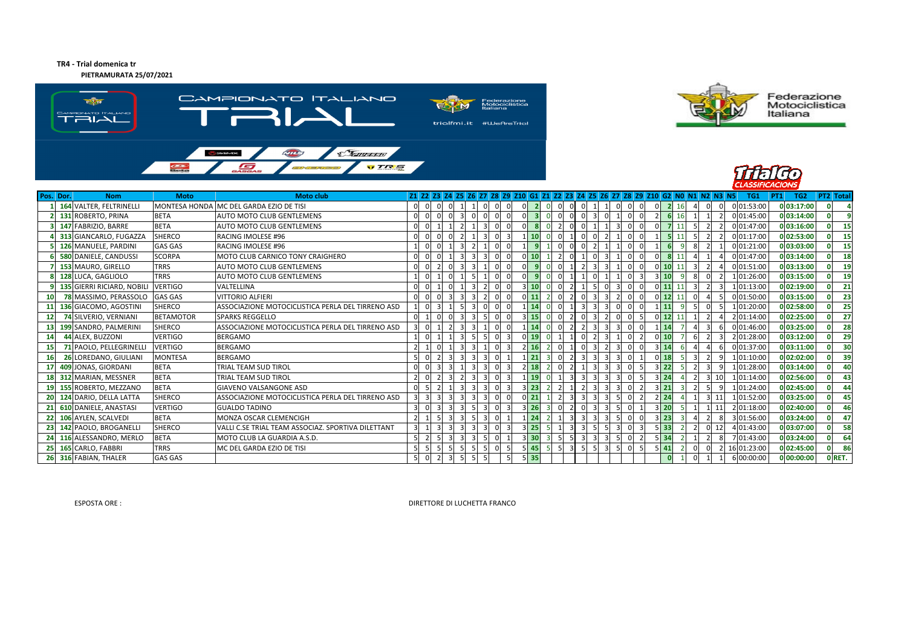## **TR4 - Trial domenica trPIETRAMURATA 25/07/2021**

CAMPIONATO ITALIANO  $\frac{1}{\sqrt{2}}$ Federazione<br>Motociclistica<br>Italiana **EXM**  $\begin{picture}(20,10) \put(0,0){\line(1,0){10}} \put(10,0){\line(1,0){10}} \put(10,0){\line(1,0){10}} \put(10,0){\line(1,0){10}} \put(10,0){\line(1,0){10}} \put(10,0){\line(1,0){10}} \put(10,0){\line(1,0){10}} \put(10,0){\line(1,0){10}} \put(10,0){\line(1,0){10}} \put(10,0){\line(1,0){10}} \put(10,0){\line(1,0){10}} \put(10,0){\line(1$ trialfmi.it #WeAreTrial  $\sqrt{112}$  $\mathcal{F}$ **VTRS**  $\frac{1}{\sqrt{2}}$ G







| Pos. Dor.       | <b>Nom</b>                 | <b>Moto</b>          | <b>Moto club</b>                                   |  |  |  | 21 22 23 24 25 26 27 28 29 210 G1 21 22 23 24 25 26 27 28 29 210 G2 N0 N1 N2 N3 N5 |           |  |  |  |        |                |  | TG1         | TG <sub>2</sub><br> PT1 | <b>PT2</b> Total |
|-----------------|----------------------------|----------------------|----------------------------------------------------|--|--|--|------------------------------------------------------------------------------------|-----------|--|--|--|--------|----------------|--|-------------|-------------------------|------------------|
|                 | 164 VALTER, FELTRINELLI    | <b>MONTESA HONDA</b> | MC DEL GARDA EZIO DE TISI                          |  |  |  |                                                                                    |           |  |  |  |        |                |  | 0 01:53:00  | 0 03:17:00              |                  |
|                 | 131 ROBERTO, PRINA         | <b>BETA</b>          | AUTO MOTO CLUB GENTLEMENS                          |  |  |  |                                                                                    |           |  |  |  |        |                |  | 0 01:45:00  | 0 03:14:00              | $\alpha$         |
|                 | 147 FABRIZIO, BARRE        | <b>BETA</b>          | AUTO MOTO CLUB GENTLEMENS                          |  |  |  |                                                                                    |           |  |  |  |        |                |  | 0 01:47:00  | 0 03:16:00              | 15               |
|                 | 313 GIANCARLO, FUGAZZA     | <b>SHERCO</b>        | <b>RACING IMOLESE #96</b>                          |  |  |  |                                                                                    |           |  |  |  |        |                |  | 0 01:17:00  | 0 02:53:00              | 15               |
|                 | 126 MANUELE, PARDINI       | <b>GAS GAS</b>       | <b>RACING IMOLESE #96</b>                          |  |  |  |                                                                                    |           |  |  |  |        |                |  | 0 01:21:00  | 0 03:03:00              | 15               |
|                 | 580 DANIELE, CANDUSSI      | <b>SCORPA</b>        | MOTO CLUB CARNICO TONY CRAIGHERO                   |  |  |  |                                                                                    |           |  |  |  |        |                |  | 0 01:47:00  | 0 03:14:00              | 18               |
|                 | 153 MAURO, GIRELLO         | <b>TRRS</b>          | AUTO MOTO CLUB GENTLEMENS                          |  |  |  |                                                                                    |           |  |  |  |        |                |  | 0 01:51:00  | 0 03:13:00              | 19               |
|                 | 8 128 LUCA, GAGLIOLO       | <b>TRRS</b>          | <b>AUTO MOTO CLUB GENTLEMENS</b>                   |  |  |  |                                                                                    |           |  |  |  | 3 I 10 |                |  | 1 01:26:00  | 0 03:15:00              | 19               |
|                 | 135 GIERRI RICIARD, NOBILI | <b>VERTIGO</b>       | VALTELLINA                                         |  |  |  |                                                                                    |           |  |  |  | 11     |                |  | 1 01:13:00  | 0 02:19:00              | 21               |
|                 | 78 MASSIMO, PERASSOLO      | <b>GAS GAS</b>       | <b>VITTORIO ALFIERI</b>                            |  |  |  |                                                                                    |           |  |  |  | 12     |                |  | 0 01:50:00  | 0 03:15:00              | 23               |
|                 | 136 GIACOMO, AGOSTINI      | <b>SHERCO</b>        | ASSOCIAZIONE MOTOCICLISTICA PERLA DEL TIRRENO ASD  |  |  |  |                                                                                    |           |  |  |  | 11     |                |  | 101:20:00   | 0 02:58:00              | 25               |
| 12 <sub>1</sub> | 74 SILVERIO, VERNIANI      | <b>BETAMOTOR</b>     | <b>SPARKS REGGELLO</b>                             |  |  |  |                                                                                    | 15        |  |  |  | 12     |                |  | 2 01:14:00  | 0 02:25:00              | 27               |
|                 | 13 199 SANDRO, PALMERINI   | <b>SHERCO</b>        | ASSOCIAZIONE MOTOCICLISTICA PERLA DEL TIRRENO ASD  |  |  |  |                                                                                    |           |  |  |  | 14     | $\mathbf{3}$   |  | 0 01:46:00  | 0 03:25:00              | 28               |
| <b>14</b>       | 44 ALEX. BUZZONI           | <b>VERTIGO</b>       | <b>BERGAMO</b>                                     |  |  |  |                                                                                    |           |  |  |  |        |                |  | 2 01:28:00  | 0 03:12:00              | 29               |
| 15              | 71 PAOLO, PELLEGRINELLI    | <b>VERTIGO</b>       | <b>BERGAMO</b>                                     |  |  |  |                                                                                    | <b>16</b> |  |  |  | 3 14   |                |  | 0 01:37:00  | 0 03:11:00              | 30               |
| <b>16</b>       | 26 LOREDANO, GIULIANI      | <b>MONTESA</b>       | <b>BERGAMO</b>                                     |  |  |  |                                                                                    |           |  |  |  |        |                |  | 1 01:10:00  | 0 02:02:00              | 39               |
|                 | 17 409 JONAS, GIORDANI     | <b>BETA</b>          | <b>TRIAL TEAM SUD TIROL</b>                        |  |  |  |                                                                                    |           |  |  |  | 22     |                |  | 1 01:28:00  | 0 03:14:00              | 40               |
|                 | 18 312 MARIAN, MESSNER     | <b>BETA</b>          | <b>TRIAL TEAM SUD TIROL</b>                        |  |  |  |                                                                                    |           |  |  |  | 24     | 3              |  | 1 01:14:00  | 0 02:56:00              | 43               |
|                 | 19 155 ROBERTO, MEZZANO    | <b>BETA</b>          | <b>GIAVENO VALSANGONE ASD</b>                      |  |  |  |                                                                                    | 23        |  |  |  |        |                |  | 1 01:24:00  | 0 02:45:00              | 44               |
|                 | 20 124 DARIO, DELLA LATTA  | <b>SHERCO</b>        | ASSOCIAZIONE MOTOCICLISTICA PERLA DEL TIRRENO ASD  |  |  |  |                                                                                    |           |  |  |  | 2 24   | $\overline{3}$ |  | 1 01:52:00  | 0 03:25:00              | 45               |
|                 | 21 610 DANIELE, ANASTASI   | <b>VERTIGO</b>       | <b>GUALDO TADINO</b>                               |  |  |  |                                                                                    |           |  |  |  |        |                |  | 2 01:18:00  | 0 02:40:00              | 46               |
|                 | 22 106 AYLEN, SCALVEDI     | <b>BETA</b>          | MONZA OSCAR CLEMENCIGH                             |  |  |  |                                                                                    |           |  |  |  | 23     |                |  | 3 01:56:00  | 0 03:24:00              | 47               |
|                 | 23 142 PAOLO, BROGANELLI   | <b>SHERCO</b>        | VALLI C.SE TRIAL TEAM ASSOCIAZ. SPORTIVA DILETTANT |  |  |  |                                                                                    |           |  |  |  | 33     |                |  | 4 01:43:00  | 0 03:07:00              | 58               |
|                 | 24 116 ALESSANDRO, MERLO   | <b>BETA</b>          | MOTO CLUB LA GUARDIA A.S.D.                        |  |  |  |                                                                                    | 30        |  |  |  | 34     |                |  | 7 01:43:00  | 0 03:24:00              | 64               |
|                 | 25 165 CARLO, FABBRI       | <b>TRRS</b>          | MC DEL GARDA EZIO DE TISI                          |  |  |  |                                                                                    | 45        |  |  |  | 41     |                |  | 16 01:23:00 | 0 02:45:00              | 86               |
|                 | 26 316 FABIAN, THALER      | <b>GAS GAS</b>       |                                                    |  |  |  |                                                                                    | $5$ 35    |  |  |  |        |                |  | 6 00:00:00  | 0 00:00:00              | O RET.           |

ESPOSTA ORE : DIRETTORE DI LUCHETTA FRANCO